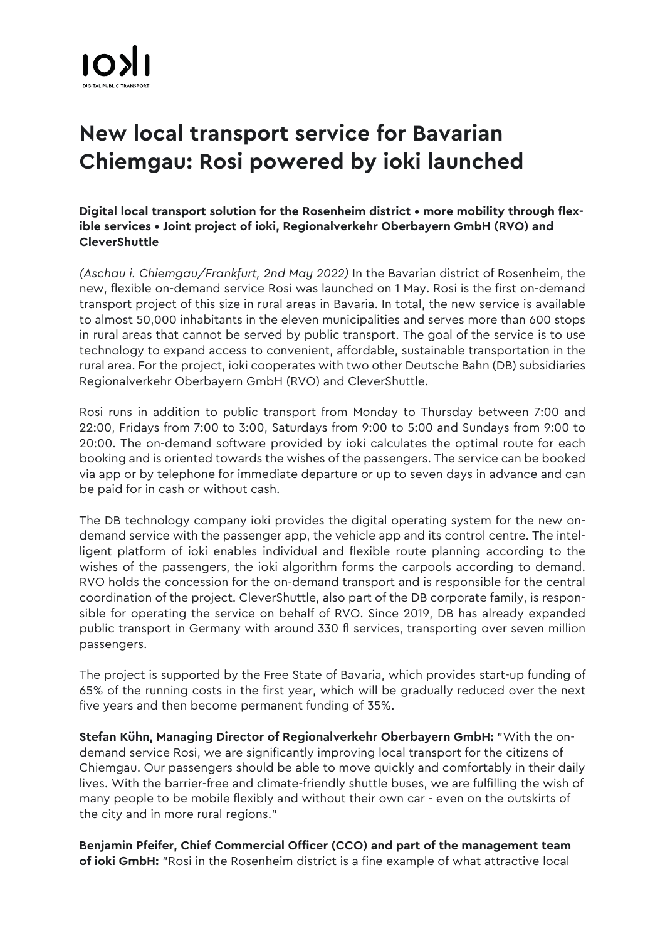## **New local transport service for Bavarian Chiemgau: Rosi powered by ioki launched**

**Digital local transport solution for the Rosenheim district • more mobility through flexible services • Joint project of ioki, Regionalverkehr Oberbayern GmbH (RVO) and CleverShuttle** 

*(Aschau i. Chiemgau/Frankfurt, 2nd May 2022)* In the Bavarian district of Rosenheim, the new, flexible on-demand service Rosi was launched on 1 May. Rosi is the first on-demand transport project of this size in rural areas in Bavaria. In total, the new service is available to almost 50,000 inhabitants in the eleven municipalities and serves more than 600 stops in rural areas that cannot be served by public transport. The goal of the service is to use technology to expand access to convenient, affordable, sustainable transportation in the rural area. For the project, ioki cooperates with two other Deutsche Bahn (DB) subsidiaries Regionalverkehr Oberbayern GmbH (RVO) and CleverShuttle.

Rosi runs in addition to public transport from Monday to Thursday between 7:00 and 22:00, Fridays from 7:00 to 3:00, Saturdays from 9:00 to 5:00 and Sundays from 9:00 to 20:00. The on-demand software provided by ioki calculates the optimal route for each booking and is oriented towards the wishes of the passengers. The service can be booked via app or by telephone for immediate departure or up to seven days in advance and can be paid for in cash or without cash.

The DB technology company ioki provides the digital operating system for the new ondemand service with the passenger app, the vehicle app and its control centre. The intelligent platform of ioki enables individual and flexible route planning according to the wishes of the passengers, the ioki algorithm forms the carpools according to demand. RVO holds the concession for the on-demand transport and is responsible for the central coordination of the project. CleverShuttle, also part of the DB corporate family, is responsible for operating the service on behalf of RVO. Since 2019, DB has already expanded public transport in Germany with around 330 fl services, transporting over seven million passengers.

The project is supported by the Free State of Bavaria, which provides start-up funding of 65% of the running costs in the first year, which will be gradually reduced over the next five years and then become permanent funding of 35%.

**Stefan Kühn, Managing Director of Regionalverkehr Oberbayern GmbH:** "With the ondemand service Rosi, we are significantly improving local transport for the citizens of Chiemgau. Our passengers should be able to move quickly and comfortably in their daily lives. With the barrier-free and climate-friendly shuttle buses, we are fulfilling the wish of many people to be mobile flexibly and without their own car - even on the outskirts of the city and in more rural regions."

**Benjamin Pfeifer, Chief Commercial Officer (CCO) and part of the management team of ioki GmbH:** "Rosi in the Rosenheim district is a fine example of what attractive local